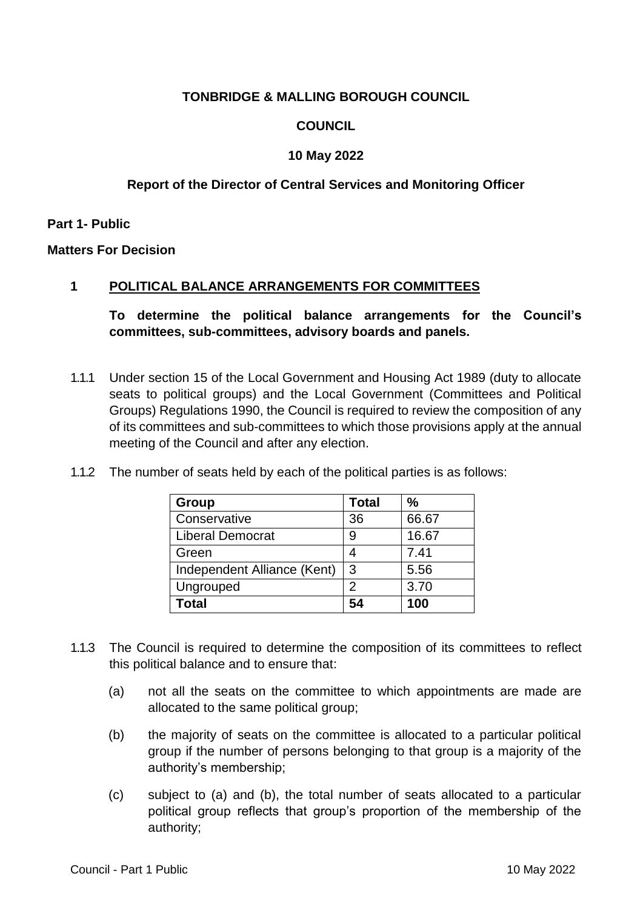# **TONBRIDGE & MALLING BOROUGH COUNCIL**

# **COUNCIL**

## **10 May 2022**

# **Report of the Director of Central Services and Monitoring Officer**

**Part 1- Public**

**Matters For Decision**

### **1 POLITICAL BALANCE ARRANGEMENTS FOR COMMITTEES**

**To determine the political balance arrangements for the Council's committees, sub-committees, advisory boards and panels.**

1.1.1 Under section 15 of the Local Government and Housing Act 1989 (duty to allocate seats to political groups) and the Local Government (Committees and Political Groups) Regulations 1990, the Council is required to review the composition of any of its committees and sub-committees to which those provisions apply at the annual meeting of the Council and after any election.

| Group                       | <b>Total</b> | $\frac{0}{0}$ |
|-----------------------------|--------------|---------------|
| Conservative                | 36           | 66.67         |
| <b>Liberal Democrat</b>     |              | 16.67         |
| Green                       |              | 7.41          |
| Independent Alliance (Kent) | 3            | 5.56          |
| Ungrouped                   | 2            | 3.70          |
| Total                       | 54           | 100           |

1.1.2 The number of seats held by each of the political parties is as follows:

- 1.1.3 The Council is required to determine the composition of its committees to reflect this political balance and to ensure that:
	- (a) not all the seats on the committee to which appointments are made are allocated to the same political group;
	- (b) the majority of seats on the committee is allocated to a particular political group if the number of persons belonging to that group is a majority of the authority's membership;
	- (c) subject to (a) and (b), the total number of seats allocated to a particular political group reflects that group's proportion of the membership of the authority;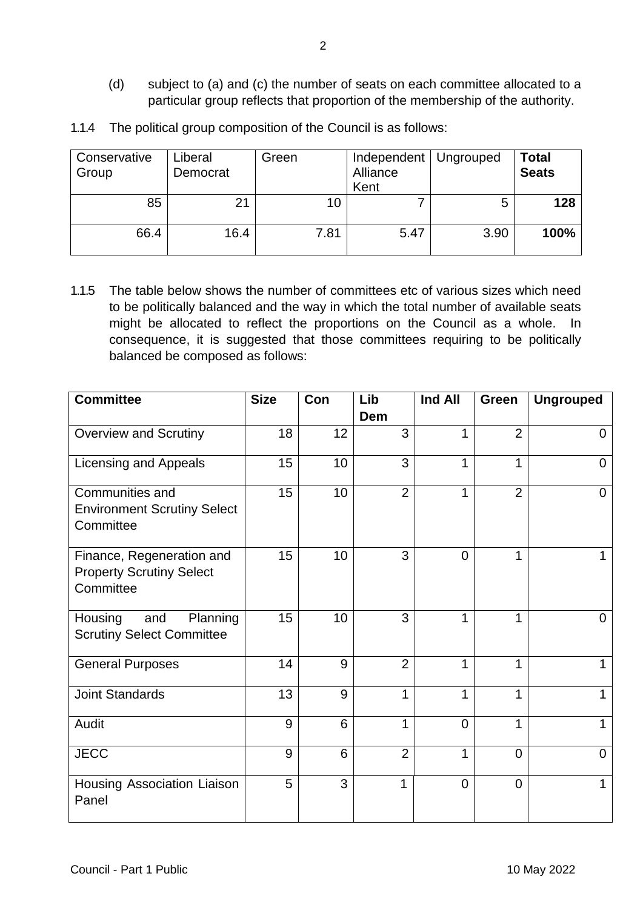- (d) subject to (a) and (c) the number of seats on each committee allocated to a particular group reflects that proportion of the membership of the authority.
- 1.1.4 The political group composition of the Council is as follows:

| Conservative<br>Group | Liberal<br>Democrat | Green | Independent   Ungrouped<br>Alliance<br>Kent |      | <b>Total</b><br><b>Seats</b> |
|-----------------------|---------------------|-------|---------------------------------------------|------|------------------------------|
| 85                    |                     | 10    |                                             | 5    | 128                          |
| 66.4                  | 16.4                | 7.81  | 5.47                                        | 3.90 | 100%                         |

1.1.5 The table below shows the number of committees etc of various sizes which need to be politically balanced and the way in which the total number of available seats might be allocated to reflect the proportions on the Council as a whole. In consequence, it is suggested that those committees requiring to be politically balanced be composed as follows:

| <b>Committee</b>                                                          | <b>Size</b> | Con             | Lib<br><b>Dem</b> | Ind All        | Green          | <b>Ungrouped</b> |
|---------------------------------------------------------------------------|-------------|-----------------|-------------------|----------------|----------------|------------------|
| <b>Overview and Scrutiny</b>                                              | 18          | 12              | 3                 | 1              | $\overline{2}$ | 0                |
| <b>Licensing and Appeals</b>                                              | 15          | 10              | 3                 | 1              | $\mathbf{1}$   | $\overline{0}$   |
| Communities and<br><b>Environment Scrutiny Select</b><br>Committee        | 15          | 10 <sub>1</sub> | $\overline{2}$    | 1              | $\overline{2}$ | $\Omega$         |
| Finance, Regeneration and<br><b>Property Scrutiny Select</b><br>Committee | 15          | 10              | 3                 | $\Omega$       | 1              |                  |
| Planning<br>Housing<br>and<br><b>Scrutiny Select Committee</b>            | 15          | 10              | 3                 | 1              | 1              | 0                |
| <b>General Purposes</b>                                                   | 14          | 9               | $\overline{2}$    | 1              | $\mathbf{1}$   |                  |
| <b>Joint Standards</b>                                                    | 13          | 9               | 1                 | 1              | 1              | 1                |
| Audit                                                                     | 9           | 6               | 1                 | $\overline{0}$ | $\mathbf{1}$   | 1                |
| <b>JECC</b>                                                               | 9           | 6               | $\overline{2}$    | 1              | 0              | $\Omega$         |
| Housing Association Liaison<br>Panel                                      | 5           | 3               | $\mathbf{1}$      | $\overline{0}$ | $\overline{0}$ | 1                |